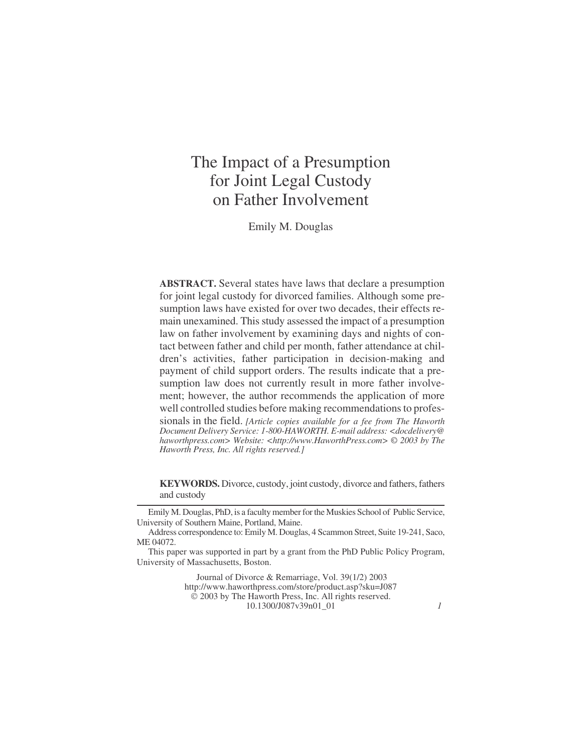# The Impact of a Presumption for Joint Legal Custody on Father Involvement

Emily M. Douglas

**ABSTRACT.** Several states have laws that declare a presumption for joint legal custody for divorced families. Although some presumption laws have existed for over two decades, their effects remain unexamined. This study assessed the impact of a presumption law on father involvement by examining days and nights of contact between father and child per month, father attendance at children's activities, father participation in decision-making and payment of child support orders. The results indicate that a presumption law does not currently result in more father involvement; however, the author recommends the application of more well controlled studies before making recommendations to professionals in the field. *[Article copies available for a fee from The Haworth Document Delivery Service: 1-800-HAWORTH. E-mail address: <docdelivery@ haworthpress.com> Website: [<http://www.HaworthPress.com>](http://www.HaworthPress.com) © 2003 by The Haworth Press, Inc. All rights reserved.]*

**KEYWORDS.** Divorce, custody, joint custody, divorce and fathers, fathers and custody

Emily M. Douglas, PhD, is a faculty member for the Muskies School of Public Service, University of Southern Maine, Portland, Maine.

Address correspondence to: Emily M. Douglas, 4 Scammon Street, Suite 19-241, Saco, ME 04072.

This paper was supported in part by a grant from the PhD Public Policy Program, University of Massachusetts, Boston.

> Journal of Divorce & Remarriage, Vol. 39(1/2) 2003 <http://www.haworthpress.com/store/product.asp?sku=J087> 2003 by The Haworth Press, Inc. All rights reserved. 10.1300/J087v39n01\_01 *1*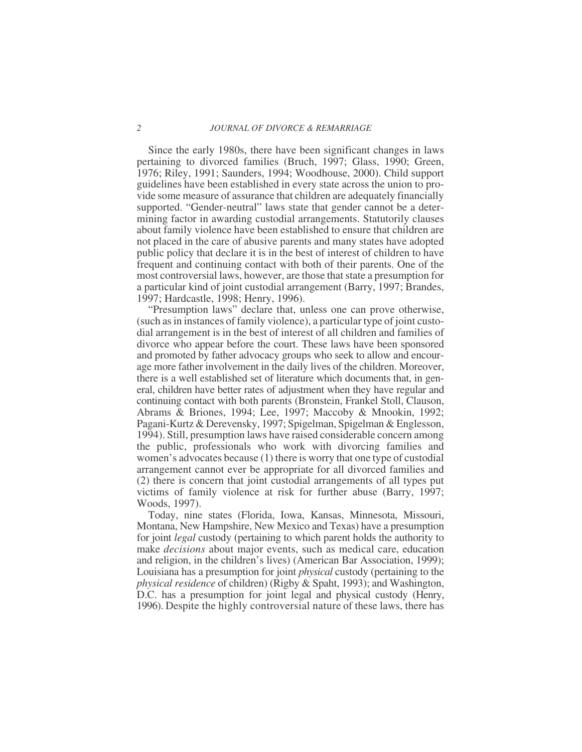#### *2 JOURNAL OF DIVORCE & REMARRIAGE*

Since the early 1980s, there have been significant changes in laws pertaining to divorced families (Bruch, 1997; Glass, 1990; Green, 1976; Riley, 1991; Saunders, 1994; Woodhouse, 2000). Child support guidelines have been established in every state across the union to provide some measure of assurance that children are adequately financially supported. "Gender-neutral" laws state that gender cannot be a determining factor in awarding custodial arrangements. Statutorily clauses about family violence have been established to ensure that children are not placed in the care of abusive parents and many states have adopted public policy that declare it is in the best of interest of children to have frequent and continuing contact with both of their parents. One of the most controversial laws, however, are those that state a presumption for a particular kind of joint custodial arrangement (Barry, 1997; Brandes, 1997; Hardcastle, 1998; Henry, 1996).

"Presumption laws" declare that, unless one can prove otherwise, (such as in instances of family violence), a particular type of joint custodial arrangement is in the best of interest of all children and families of divorce who appear before the court. These laws have been sponsored and promoted by father advocacy groups who seek to allow and encourage more father involvement in the daily lives of the children. Moreover, there is a well established set of literature which documents that, in general, children have better rates of adjustment when they have regular and continuing contact with both parents (Bronstein, Frankel Stoll, Clauson, Abrams & Briones, 1994; Lee, 1997; Maccoby & Mnookin, 1992; Pagani-Kurtz & Derevensky, 1997; Spigelman, Spigelman & Englesson, 1994). Still, presumption laws have raised considerable concern among the public, professionals who work with divorcing families and women's advocates because (1) there is worry that one type of custodial arrangement cannot ever be appropriate for all divorced families and (2) there is concern that joint custodial arrangements of all types put victims of family violence at risk for further abuse (Barry, 1997; Woods, 1997).

Today, nine states (Florida, Iowa, Kansas, Minnesota, Missouri, Montana, New Hampshire, New Mexico and Texas) have a presumption for joint *legal* custody (pertaining to which parent holds the authority to make *decisions* about major events, such as medical care, education and religion, in the children's lives) (American Bar Association, 1999); Louisiana has a presumption for joint *physical* custody (pertaining to the *physical residence* of children) (Rigby & Spaht, 1993); and Washington, D.C. has a presumption for joint legal and physical custody (Henry, 1996). Despite the highly controversial nature of these laws, there has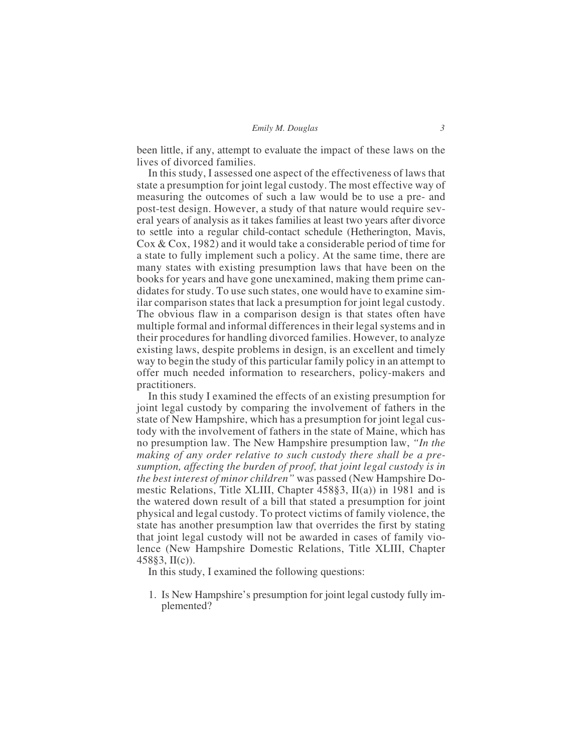been little, if any, attempt to evaluate the impact of these laws on the lives of divorced families.

In this study, I assessed one aspect of the effectiveness of laws that state a presumption for joint legal custody. The most effective way of measuring the outcomes of such a law would be to use a pre- and post-test design. However, a study of that nature would require several years of analysis as it takes families at least two years after divorce to settle into a regular child-contact schedule (Hetherington, Mavis, Cox & Cox, 1982) and it would take a considerable period of time for a state to fully implement such a policy. At the same time, there are many states with existing presumption laws that have been on the books for years and have gone unexamined, making them prime candidates for study. To use such states, one would have to examine similar comparison states that lack a presumption for joint legal custody. The obvious flaw in a comparison design is that states often have multiple formal and informal differences in their legal systems and in their procedures for handling divorced families. However, to analyze existing laws, despite problems in design, is an excellent and timely way to begin the study of this particular family policy in an attempt to offer much needed information to researchers, policy-makers and practitioners.

In this study I examined the effects of an existing presumption for joint legal custody by comparing the involvement of fathers in the state of New Hampshire, which has a presumption for joint legal custody with the involvement of fathers in the state of Maine, which has no presumption law. The New Hampshire presumption law, *"In the making of any order relative to such custody there shall be a presumption, affecting the burden of proof, that joint legal custody is in the best interest of minor children"* was passed (New Hampshire Domestic Relations, Title XLIII, Chapter 458§3, II(a)) in 1981 and is the watered down result of a bill that stated a presumption for joint physical and legal custody. To protect victims of family violence, the state has another presumption law that overrides the first by stating that joint legal custody will not be awarded in cases of family violence (New Hampshire Domestic Relations, Title XLIII, Chapter 458§3, II(c)).

In this study, I examined the following questions:

1. Is New Hampshire's presumption for joint legal custody fully implemented?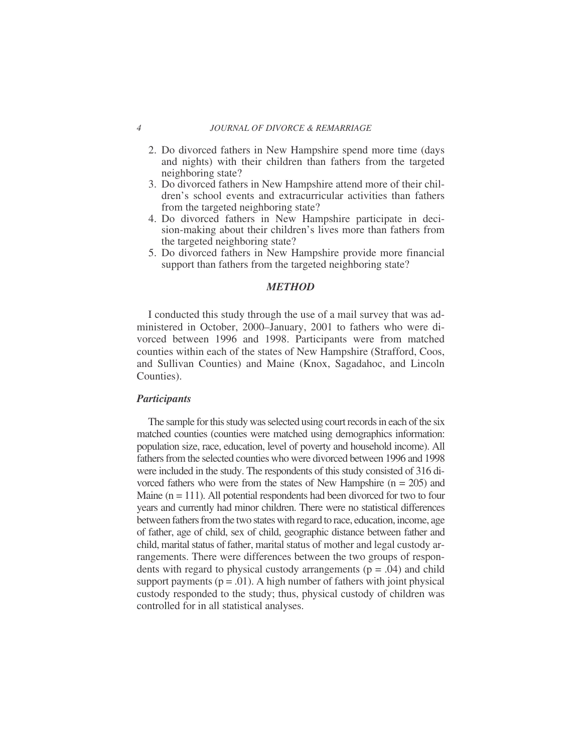- 2. Do divorced fathers in New Hampshire spend more time (days and nights) with their children than fathers from the targeted neighboring state?
- 3. Do divorced fathers in New Hampshire attend more of their children's school events and extracurricular activities than fathers from the targeted neighboring state?
- 4. Do divorced fathers in New Hampshire participate in decision-making about their children's lives more than fathers from the targeted neighboring state?
- 5. Do divorced fathers in New Hampshire provide more financial support than fathers from the targeted neighboring state?

# *METHOD*

I conducted this study through the use of a mail survey that was administered in October, 2000–January, 2001 to fathers who were divorced between 1996 and 1998. Participants were from matched counties within each of the states of New Hampshire (Strafford, Coos, and Sullivan Counties) and Maine (Knox, Sagadahoc, and Lincoln Counties).

# *Participants*

The sample for this study was selected using court records in each of the six matched counties (counties were matched using demographics information: population size, race, education, level of poverty and household income). All fathers from the selected counties who were divorced between 1996 and 1998 were included in the study. The respondents of this study consisted of 316 divorced fathers who were from the states of New Hampshire  $(n = 205)$  and Maine  $(n = 111)$ . All potential respondents had been divorced for two to four years and currently had minor children. There were no statistical differences between fathers from the two states with regard to race, education, income, age of father, age of child, sex of child, geographic distance between father and child, marital status of father, marital status of mother and legal custody arrangements. There were differences between the two groups of respondents with regard to physical custody arrangements  $(p = .04)$  and child support payments ( $p = .01$ ). A high number of fathers with joint physical custody responded to the study; thus, physical custody of children was controlled for in all statistical analyses.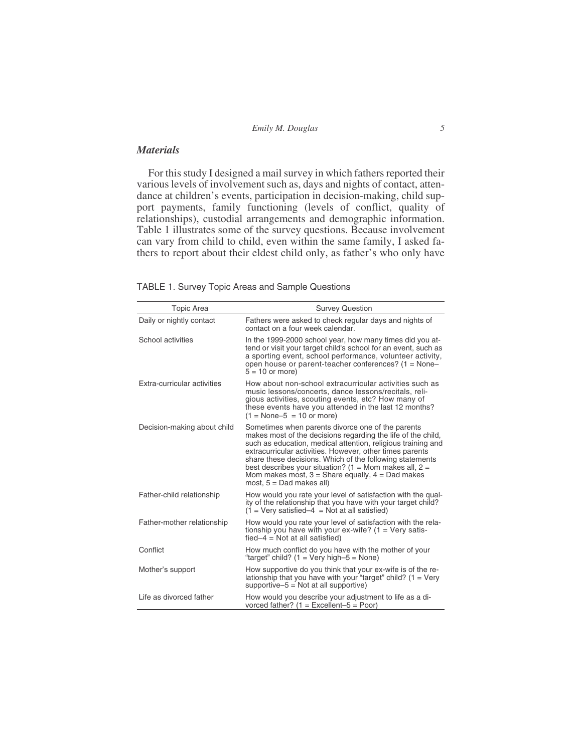| Emily M. Douglas |  |
|------------------|--|
|                  |  |

# *Materials*

For this study I designed a mail survey in which fathers reported their various levels of involvement such as, days and nights of contact, attendance at children's events, participation in decision-making, child support payments, family functioning (levels of conflict, quality of relationships), custodial arrangements and demographic information. Table 1 illustrates some of the survey questions. Because involvement can vary from child to child, even within the same family, I asked fathers to report about their eldest child only, as father's who only have

TABLE 1. Survey Topic Areas and Sample Questions

| <b>Topic Area</b>           | <b>Survey Question</b>                                                                                                                                                                                                                                                                                                                                                                                                                                      |
|-----------------------------|-------------------------------------------------------------------------------------------------------------------------------------------------------------------------------------------------------------------------------------------------------------------------------------------------------------------------------------------------------------------------------------------------------------------------------------------------------------|
| Daily or nightly contact    | Fathers were asked to check regular days and nights of<br>contact on a four week calendar.                                                                                                                                                                                                                                                                                                                                                                  |
| School activities           | In the 1999-2000 school year, how many times did you at-<br>tend or visit your target child's school for an event, such as<br>a sporting event, school performance, volunteer activity,<br>open house or parent-teacher conferences? $(1 = \text{None} - \text{None})$<br>$5 = 10$ or more)                                                                                                                                                                 |
| Extra-curricular activities | How about non-school extracurricular activities such as<br>music lessons/concerts, dance lessons/recitals, reli-<br>gious activities, scouting events, etc? How many of<br>these events have you attended in the last 12 months?<br>$(1 = None - 5 = 10 or more)$                                                                                                                                                                                           |
| Decision-making about child | Sometimes when parents divorce one of the parents<br>makes most of the decisions regarding the life of the child,<br>such as education, medical attention, religious training and<br>extracurricular activities. However, other times parents<br>share these decisions. Which of the following statements<br>best describes your situation? (1 = Mom makes all, $2 =$<br>Mom makes most, $3$ = Share equally, $4$ = Dad makes<br>most, $5 =$ Dad makes all) |
| Father-child relationship   | How would you rate your level of satisfaction with the qual-<br>ity of the relationship that you have with your target child?<br>$(1 = Verv$ satisfied-4 = Not at all satisfied)                                                                                                                                                                                                                                                                            |
| Father-mother relationship  | How would you rate your level of satisfaction with the rela-<br>tionship you have with your ex-wife? $(1 = \text{Very satis-})$<br>$fied-4 = Not$ at all satisfied)                                                                                                                                                                                                                                                                                         |
| Conflict                    | How much conflict do you have with the mother of your<br>"target" child? $(1 = \text{Very high-5} = \text{None})$                                                                                                                                                                                                                                                                                                                                           |
| Mother's support            | How supportive do you think that your ex-wife is of the re-<br>lationship that you have with your "target" child? $(1 = Very)$<br>supportive- $5 = Not$ at all supportive)                                                                                                                                                                                                                                                                                  |
| Life as divorced father     | How would you describe your adjustment to life as a di-<br>vorced father? $(1 = Excellent-5 = Poor)$                                                                                                                                                                                                                                                                                                                                                        |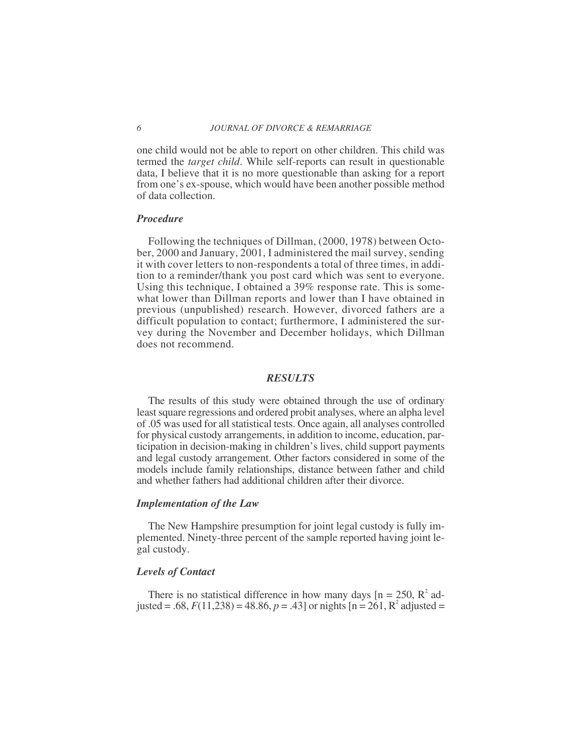one child would not be able to report on other children. This child was termed the *target child*. While self-reports can result in questionable data, I believe that it is no more questionable than asking for a report from one's ex-spouse, which would have been another possible method of data collection.

### *Procedure*

Following the techniques of Dillman, (2000, 1978) between October, 2000 and January, 2001, I administered the mail survey, sending it with cover letters to non-respondents a total of three times, in addition to a reminder/thank you post card which was sent to everyone. Using this technique, I obtained a 39% response rate. This is somewhat lower than Dillman reports and lower than I have obtained in previous (unpublished) research. However, divorced fathers are a difficult population to contact; furthermore, I administered the survey during the November and December holidays, which Dillman does not recommend.

## *RESULTS*

The results of this study were obtained through the use of ordinary least square regressions and ordered probit analyses, where an alpha level of .05 was used for all statistical tests. Once again, all analyses controlled for physical custody arrangements, in addition to income, education, participation in decision-making in children's lives, child support payments and legal custody arrangement. Other factors considered in some of the models include family relationships, distance between father and child and whether fathers had additional children after their divorce.

#### *Implementation of the Law*

The New Hampshire presumption for joint legal custody is fully implemented. Ninety-three percent of the sample reported having joint legal custody.

### *Levels of Contact*

There is no statistical difference in how many days  $[n = 250, R^2]$  adjusted = .68,  $F(11,238) = 48.86$ ,  $p = .43$  or nights  $[n = 261, R^2$  adjusted =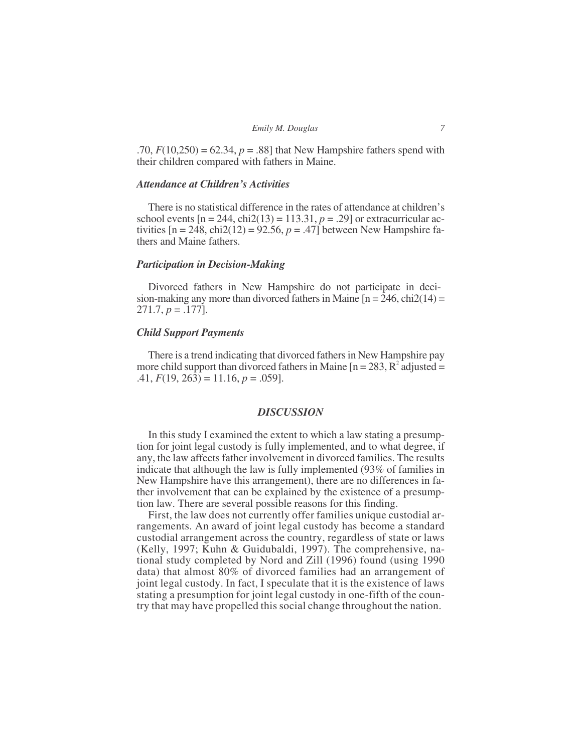.70,  $F(10,250) = 62.34, p = .88$ ] that New Hampshire fathers spend with their children compared with fathers in Maine.

# *Attendance at Children's Activities*

There is no statistical difference in the rates of attendance at children's school events  $[n = 244, chi2(13) = 113.31, p = .29]$  or extracurricular activities  $[n = 248, chi2(12) = 92.56, p = .47]$  between New Hampshire fathers and Maine fathers.

## *Participation in Decision-Making*

Divorced fathers in New Hampshire do not participate in decision-making any more than divorced fathers in Maine  $[n = 246, chi2(14) =$ 271.7, *p* = .177].

#### *Child Support Payments*

There is a trend indicating that divorced fathers in New Hampshire pay more child support than divorced fathers in Maine  $[n = 283, R^2]$  adjusted =  $.41, F(19, 263) = 11.16, p = .059$ .

## *DISCUSSION*

In this study I examined the extent to which a law stating a presumption for joint legal custody is fully implemented, and to what degree, if any, the law affects father involvement in divorced families. The results indicate that although the law is fully implemented (93% of families in New Hampshire have this arrangement), there are no differences in father involvement that can be explained by the existence of a presumption law. There are several possible reasons for this finding.

First, the law does not currently offer families unique custodial arrangements. An award of joint legal custody has become a standard custodial arrangement across the country, regardless of state or laws (Kelly, 1997; Kuhn & Guidubaldi, 1997). The comprehensive, national study completed by Nord and Zill (1996) found (using 1990 data) that almost 80% of divorced families had an arrangement of joint legal custody. In fact, I speculate that it is the existence of laws stating a presumption for joint legal custody in one-fifth of the country that may have propelled this social change throughout the nation.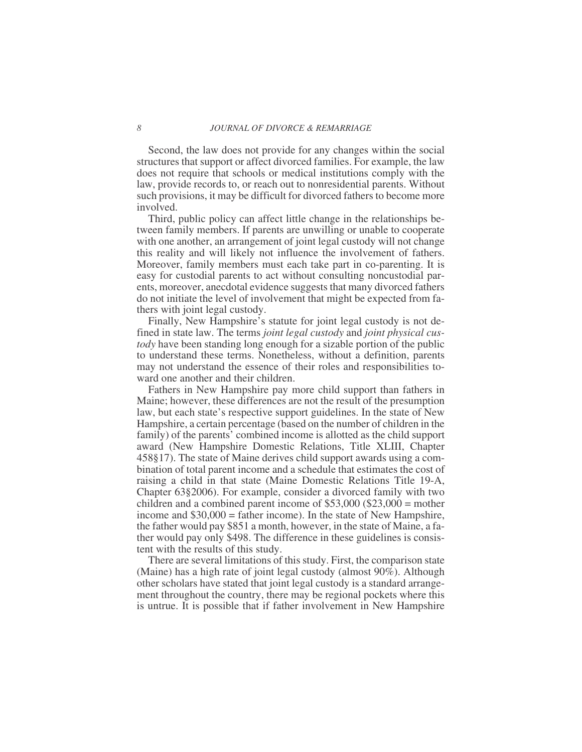Second, the law does not provide for any changes within the social structures that support or affect divorced families. For example, the law does not require that schools or medical institutions comply with the law, provide records to, or reach out to nonresidential parents. Without such provisions, it may be difficult for divorced fathers to become more involved.

Third, public policy can affect little change in the relationships between family members. If parents are unwilling or unable to cooperate with one another, an arrangement of joint legal custody will not change this reality and will likely not influence the involvement of fathers. Moreover, family members must each take part in co-parenting. It is easy for custodial parents to act without consulting noncustodial parents, moreover, anecdotal evidence suggests that many divorced fathers do not initiate the level of involvement that might be expected from fathers with joint legal custody.

Finally, New Hampshire's statute for joint legal custody is not defined in state law. The terms *joint legal custody* and *joint physical custody* have been standing long enough for a sizable portion of the public to understand these terms. Nonetheless, without a definition, parents may not understand the essence of their roles and responsibilities toward one another and their children.

Fathers in New Hampshire pay more child support than fathers in Maine; however, these differences are not the result of the presumption law, but each state's respective support guidelines. In the state of New Hampshire, a certain percentage (based on the number of children in the family) of the parents' combined income is allotted as the child support award (New Hampshire Domestic Relations, Title XLIII, Chapter 458§17). The state of Maine derives child support awards using a combination of total parent income and a schedule that estimates the cost of raising a child in that state (Maine Domestic Relations Title 19-A, Chapter 63§2006). For example, consider a divorced family with two children and a combined parent income of \$53,000 (\$23,000 = mother income and \$30,000 = father income). In the state of New Hampshire, the father would pay \$851 a month, however, in the state of Maine, a father would pay only \$498. The difference in these guidelines is consistent with the results of this study.

There are several limitations of this study. First, the comparison state (Maine) has a high rate of joint legal custody (almost 90%). Although other scholars have stated that joint legal custody is a standard arrangement throughout the country, there may be regional pockets where this is untrue. It is possible that if father involvement in New Hampshire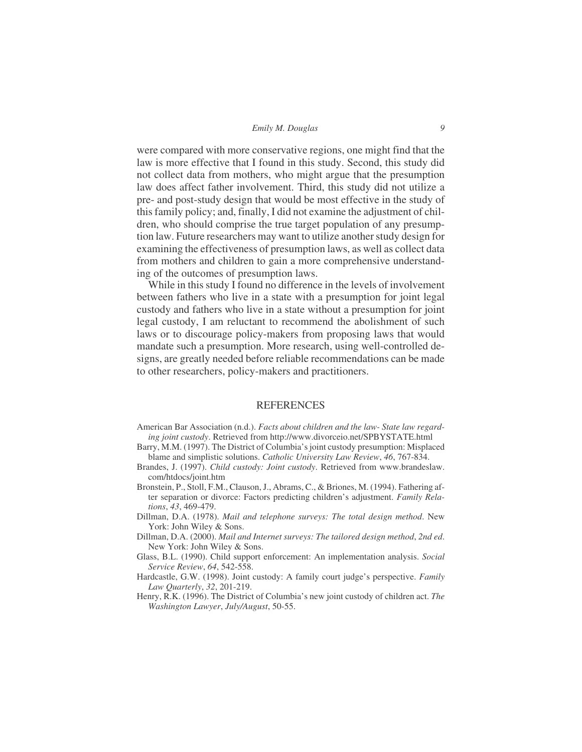#### *Emily M. Douglas 9*

were compared with more conservative regions, one might find that the law is more effective that I found in this study. Second, this study did not collect data from mothers, who might argue that the presumption law does affect father involvement. Third, this study did not utilize a pre- and post-study design that would be most effective in the study of this family policy; and, finally, I did not examine the adjustment of children, who should comprise the true target population of any presumption law. Future researchers may want to utilize another study design for examining the effectiveness of presumption laws, as well as collect data from mothers and children to gain a more comprehensive understanding of the outcomes of presumption laws.

While in this study I found no difference in the levels of involvement between fathers who live in a state with a presumption for joint legal custody and fathers who live in a state without a presumption for joint legal custody, I am reluctant to recommend the abolishment of such laws or to discourage policy-makers from proposing laws that would mandate such a presumption. More research, using well-controlled designs, are greatly needed before reliable recommendations can be made to other researchers, policy-makers and practitioners.

### REFERENCES

- American Bar Association (n.d.). *Facts about children and the law- State law regarding joint custody*. Retrieved from<http://www.divorceio.net/SPBYSTATE.html>
- Barry, M.M. (1997). The District of Columbia's joint custody presumption: Misplaced blame and simplistic solutions. *Catholic University Law Review*, *46*, 767-834.
- Brandes, J. (1997). *Child custody: Joint custody*. Retrieved from www.brandeslaw. com/htdocs/joint.htm
- Bronstein, P., Stoll, F.M., Clauson, J., Abrams, C., & Briones, M. (1994). Fathering after separation or divorce: Factors predicting children's adjustment. *Family Relations*, *43*, 469-479.
- Dillman, D.A. (1978). *Mail and telephone surveys: The total design method*. New York: John Wiley & Sons.
- Dillman, D.A. (2000). *Mail and Internet surveys: The tailored design method*, *2nd ed*. New York: John Wiley & Sons.
- Glass, B.L. (1990). Child support enforcement: An implementation analysis. *Social Service Review*, *64*, 542-558.
- Hardcastle, G.W. (1998). Joint custody: A family court judge's perspective. *Family Law Quarterly*, *32*, 201-219.
- Henry, R.K. (1996). The District of Columbia's new joint custody of children act. *The Washington Lawyer*, *July/August*, 50-55.